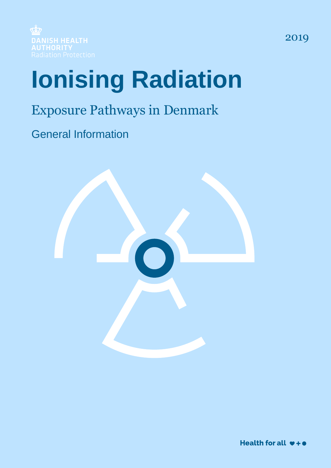

# **Ionising Radiation**

## Exposure Pathways in Denmark

General Information

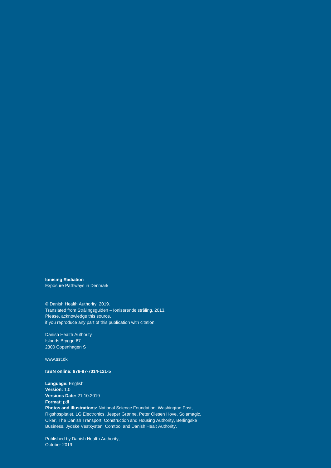**Ionising Radiation** Exposure Pathways in Denmark

© Danish Health Authority, 2019. Translated from Strålingsguiden – Ioniserende stråling, 2013. Please, acknowledge this source, if you reproduce any part of this publication with citation.

Danish Health Authority Islands Brygge 67 2300 Copenhagen S

www.sst.dk

#### **ISBN online: 978-87-7014-121-5**

**Language:** English **Version:** 1.0 **Versions Date:** 21.10.2019 **Format:** pdf **Photos and illustrations:** National Science Foundation, Washington Post, Rigshospitalet, LG Electronics, Jesper Grønne, Peter Olesen Hove, Solamagic, Clker, The Danish Transport, Construction and Housing Authority, Berlingske Business, Jydske Vestkysten, Comtool and Danish Healt Authority.

Published by Danish Health Authority, October 2019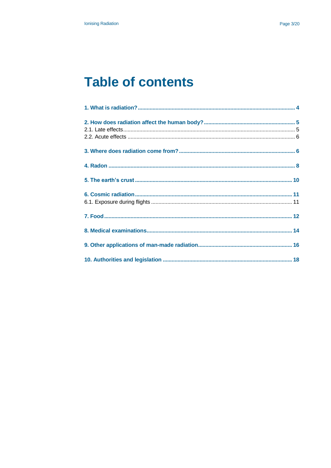### **Table of contents**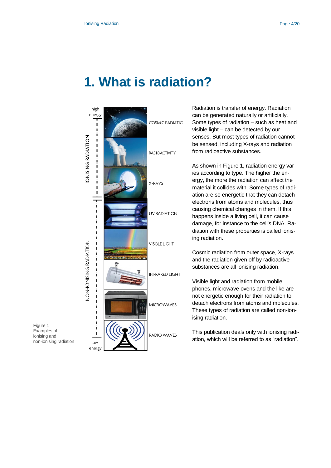### <span id="page-3-0"></span>**1. What is radiation?**



Radiation is transfer of energy. Radiation can be generated naturally or artificially. Some types of radiation – such as heat and visible light – can be detected by our senses. But most types of radiation cannot be sensed, including X-rays and radiation from radioactive substances.

As shown in Figure 1, radiation energy varies according to type. The higher the energy, the more the radiation can affect the material it collides with. Some types of radiation are so energetic that they can detach electrons from atoms and molecules, thus causing chemical changes in them. If this happens inside a living cell, it can cause damage, for instance to the cell's DNA. Radiation with these properties is called ionising radiation.

Cosmic radiation from outer space, X-rays and the radiation given off by radioactive substances are all ionising radiation.

Visible light and radiation from mobile phones, microwave ovens and the like are not energetic enough for their radiation to detach electrons from atoms and molecules. These types of radiation are called non-ionising radiation.

This publication deals only with ionising radiation, which will be referred to as "radiation".

Figure 1 Examples of ionising and non-ionising radiation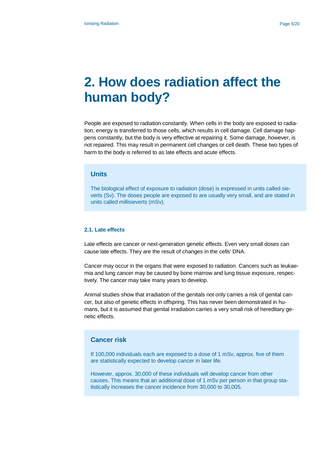### <span id="page-4-0"></span>**2. How does radiation affect the human body?**

People are exposed to radiation constantly. When cells in the body are exposed to radiation, energy is transferred to those cells, which results in cell damage. Cell damage happens constantly, but the body is very effective at repairing it. Some damage, however, is not repaired. This may result in permanent cell changes or cell death. These two types of harm to the body is referred to as late effects and acute effects.

#### **Units**

The biological effect of exposure to radiation (dose) is expressed in units called sieverts (Sv). The doses people are exposed to are usually very small, and are stated in units called millisieverts (mSv).

#### <span id="page-4-1"></span>**2.1. Late effects**

Late effects are cancer or next-generation genetic effects. Even very small doses can cause late effects. They are the result of changes in the cells' DNA.

Cancer may occur in the organs that were exposed to radiation. Cancers such as leukaemia and lung cancer may be caused by bone marrow and lung tissue exposure, respectively. The cancer may take many years to develop.

Animal studies show that irradiation of the genitals not only carries a risk of genital cancer, but also of genetic effects in offspring. This has never been demonstrated in humans, but it is assumed that genital irradiation carries a very small risk of hereditary genetic effects.

#### **Cancer risk**

If 100,000 individuals each are exposed to a dose of 1 mSv, approx. five of them are statistically expected to develop cancer in later life.

However, approx. 30,000 of these individuals will develop cancer from other causes. This means that an additional dose of 1 mSv per person in that group statistically increases the cancer incidence from 30,000 to 30,005.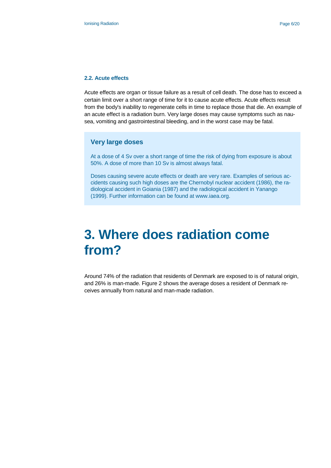#### <span id="page-5-0"></span>**2.2. Acute effects**

Acute effects are organ or tissue failure as a result of cell death. The dose has to exceed a certain limit over a short range of time for it to cause acute effects. Acute effects result from the body's inability to regenerate cells in time to replace those that die. An example of an acute effect is a radiation burn. Very large doses may cause symptoms such as nausea, vomiting and gastrointestinal bleeding, and in the worst case may be fatal.

#### **Very large doses**

At a dose of 4 Sv over a short range of time the risk of dying from exposure is about 50%. A dose of more than 10 Sv is almost always fatal.

Doses causing severe acute effects or death are very rare. Examples of serious accidents causing such high doses are the Chernobyl nuclear accident (1986), the radiological accident in Goiania (1987) and the radiological accident in Yanango (1999). Further information can be found at www.iaea.org.

### <span id="page-5-1"></span>**3. Where does radiation come from?**

Around 74% of the radiation that residents of Denmark are exposed to is of natural origin, and 26% is man-made. Figure 2 shows the average doses a resident of Denmark receives annually from natural and man-made radiation.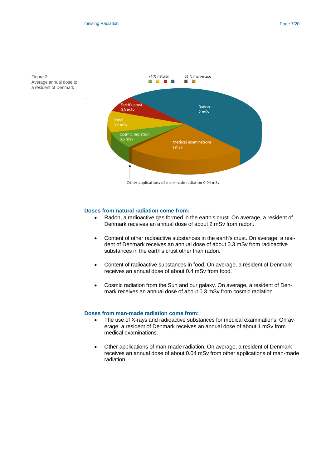



Other applications of man-made radiation 0,04 mSv

#### **Doses from natural radiation come from:**

- Radon, a radioactive gas formed in the earth's crust. On average, a resident of Denmark receives an annual dose of about 2 mSv from radon.
- Content of other radioactive substances in the earth's crust. On average, a resident of Denmark receives an annual dose of about 0.3 mSv from radioactive substances in the earth's crust other than radon.
- Content of radioactive substances in food. On average, a resident of Denmark receives an annual dose of about 0.4 mSv from food.
- Cosmic radiation from the Sun and our galaxy. On average, a resident of Denmark receives an annual dose of about 0.3 mSv from cosmic radiation.

#### **Doses from man-made radiation come from:**

- The use of X-rays and radioactive substances for medical examinations. On average, a resident of Denmark receives an annual dose of about 1 mSv from medical examinations.
- Other applications of man-made radiation. On average, a resident of Denmark receives an annual dose of about 0.04 mSv from other applications of man-made radiation.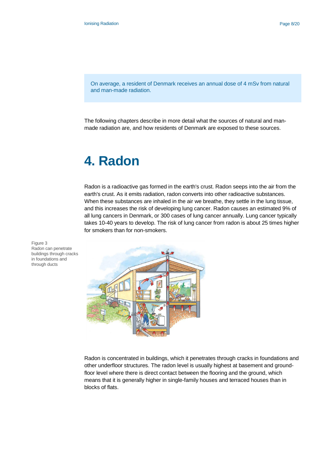On average, a resident of Denmark receives an annual dose of 4 mSv from natural and man-made radiation.

The following chapters describe in more detail what the sources of natural and manmade radiation are, and how residents of Denmark are exposed to these sources.

### <span id="page-7-0"></span>**4. Radon**

Radon is a radioactive gas formed in the earth's crust. Radon seeps into the air from the earth's crust. As it emits radiation, radon converts into other radioactive substances. When these substances are inhaled in the air we breathe, they settle in the lung tissue, and this increases the risk of developing lung cancer. Radon causes an estimated 9% of all lung cancers in Denmark, or 300 cases of lung cancer annually. Lung cancer typically takes 10-40 years to develop. The risk of lung cancer from radon is about 25 times higher for smokers than for non-smokers.



Radon is concentrated in buildings, which it penetrates through cracks in foundations and other underfloor structures. The radon level is usually highest at basement and groundfloor level where there is direct contact between the flooring and the ground, which means that it is generally higher in single-family houses and terraced houses than in blocks of flats.

Figure 3 Radon can penetrate buildings through cracks in foundations and through ducts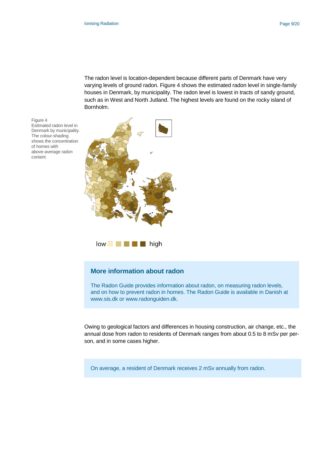The radon level is location-dependent because different parts of Denmark have very varying levels of ground radon. Figure 4 shows the estimated radon level in single-family houses in Denmark, by municipality. The radon level is lowest in tracts of sandy ground, such as in West and North Jutland. The highest levels are found on the rocky island of Bornholm.

Figure 4 Estimated radon level in Denmark by municipality. The colour-shading shows the concentration of homes with above-average radon content



 $low$   $\blacksquare$   $\blacksquare$  high

#### **More information about radon**

The Radon Guide provides information about radon, on measuring radon levels, and on how to prevent radon in homes. The Radon Guide is available in Danish at www.sis.dk or www.radonguiden.dk.

Owing to geological factors and differences in housing construction, air change, etc., the annual dose from radon to residents of Denmark ranges from about 0.5 to 8 mSv per person, and in some cases higher.

On average, a resident of Denmark receives 2 mSv annually from radon.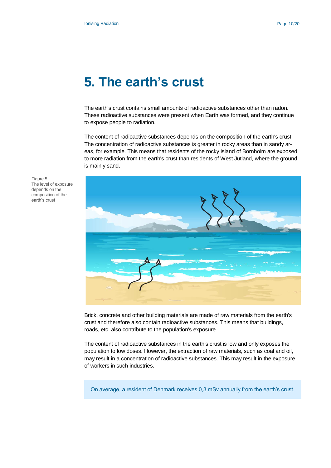### <span id="page-9-0"></span>**5. The earth's crust**

The earth's crust contains small amounts of radioactive substances other than radon. These radioactive substances were present when Earth was formed, and they continue to expose people to radiation.

The content of radioactive substances depends on the composition of the earth's crust. The concentration of radioactive substances is greater in rocky areas than in sandy areas, for example. This means that residents of the rocky island of Bornholm are exposed to more radiation from the earth's crust than residents of West Jutland, where the ground is mainly sand.



Brick, concrete and other building materials are made of raw materials from the earth's crust and therefore also contain radioactive substances. This means that buildings, roads, etc. also contribute to the population's exposure.

The content of radioactive substances in the earth's crust is low and only exposes the population to low doses. However, the extraction of raw materials, such as coal and oil, may result in a concentration of radioactive substances. This may result in the exposure of workers in such industries.

On average, a resident of Denmark receives 0,3 mSv annually from the earth's crust.

Figure 5 The level of exposure depends on the composition of the earth's crust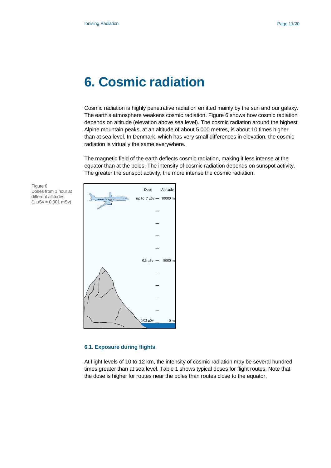### <span id="page-10-0"></span>**6. Cosmic radiation**

Cosmic radiation is highly penetrative radiation emitted mainly by the sun and our galaxy. The earth's atmosphere weakens cosmic radiation. Figure 6 shows how cosmic radiation depends on altitude (elevation above sea level). The cosmic radiation around the highest Alpine mountain peaks, at an altitude of about 5,000 metres, is about 10 times higher than at sea level. In Denmark, which has very small differences in elevation, the cosmic radiation is virtually the same everywhere.

The magnetic field of the earth deflects cosmic radiation, making it less intense at the equator than at the poles. The intensity of cosmic radiation depends on sunspot activity. The greater the sunspot activity, the more intense the cosmic radiation.

Figure 6 Doses from 1 hour at different altitudes  $(1 \mu Sv = 0.001 \text{ mSv})$ 

|                                                                                            | Dose                  | Altitude       |
|--------------------------------------------------------------------------------------------|-----------------------|----------------|
| $\frac{1}{\text{min}_{0} \cdot \text{min}_{0} \cdot \text{min}_{0}}$ up to 7 µSv – 10000 m |                       |                |
| 16                                                                                         |                       |                |
|                                                                                            |                       |                |
|                                                                                            |                       |                |
|                                                                                            |                       |                |
|                                                                                            | $0.3 \mu Sv$ - 5000 m |                |
|                                                                                            |                       |                |
|                                                                                            |                       |                |
|                                                                                            |                       |                |
|                                                                                            |                       |                |
|                                                                                            | $0.03 \mu Sv$         | 0 <sub>m</sub> |

#### <span id="page-10-1"></span>**6.1. Exposure during flights**

At flight levels of 10 to 12 km, the intensity of cosmic radiation may be several hundred times greater than at sea level. Table 1 shows typical doses for flight routes. Note that the dose is higher for routes near the poles than routes close to the equator.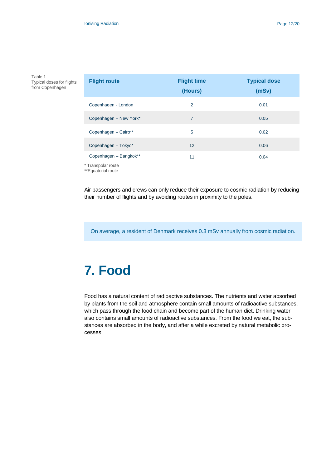Table 1 Typical doses for flights from Copenhagen

| <b>Flight route</b>    | <b>Flight time</b><br>(Hours) | <b>Typical dose</b><br>(mSv) |
|------------------------|-------------------------------|------------------------------|
| Copenhagen - London    | $\overline{2}$                | 0.01                         |
| Copenhagen - New York* | 7                             | 0.05                         |
| Copenhagen - Cairo**   | 5                             | 0.02                         |
| Copenhagen - Tokyo*    | 12                            | 0.06                         |
| Copenhagen - Bangkok** | 11                            | 0.04                         |

\* Transpolar route

\*\*Equatorial route

Air passengers and crews can only reduce their exposure to cosmic radiation by reducing their number of flights and by avoiding routes in proximity to the poles.

<span id="page-11-0"></span>On average, a resident of Denmark receives 0.3 mSv annually from cosmic radiation.

# **7. Food**

Food has a natural content of radioactive substances. The nutrients and water absorbed by plants from the soil and atmosphere contain small amounts of radioactive substances, which pass through the food chain and become part of the human diet. Drinking water also contains small amounts of radioactive substances. From the food we eat, the substances are absorbed in the body, and after a while excreted by natural metabolic processes.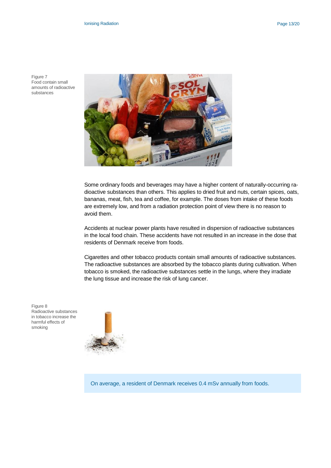Figure 7 Food contain small amounts of radioactive substances



Some ordinary foods and beverages may have a higher content of naturally-occurring radioactive substances than others. This applies to dried fruit and nuts, certain spices, oats, bananas, meat, fish, tea and coffee, for example. The doses from intake of these foods are extremely low, and from a radiation protection point of view there is no reason to avoid them.

Accidents at nuclear power plants have resulted in dispersion of radioactive substances in the local food chain. These accidents have not resulted in an increase in the dose that residents of Denmark receive from foods.

Cigarettes and other tobacco products contain small amounts of radioactive substances. The radioactive substances are absorbed by the tobacco plants during cultivation. When tobacco is smoked, the radioactive substances settle in the lungs, where they irradiate the lung tissue and increase the risk of lung cancer.

Figure 8 Radioactive substances in tobacco increase the harmful effects of smoking



On average, a resident of Denmark receives 0.4 mSv annually from foods.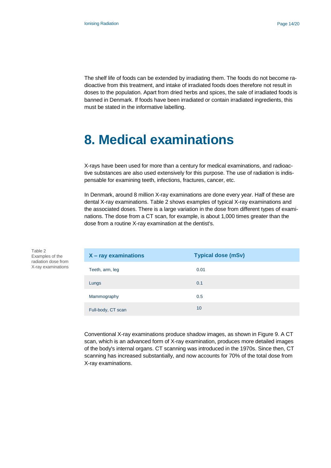The shelf life of foods can be extended by irradiating them. The foods do not become radioactive from this treatment, and intake of irradiated foods does therefore not result in doses to the population. Apart from dried herbs and spices, the sale of irradiated foods is banned in Denmark. If foods have been irradiated or contain irradiated ingredients, this must be stated in the informative labelling.

### <span id="page-13-0"></span>**8. Medical examinations**

X-rays have been used for more than a century for medical examinations, and radioactive substances are also used extensively for this purpose. The use of radiation is indispensable for examining teeth, infections, fractures, cancer, etc.

In Denmark, around 8 million X-ray examinations are done every year. Half of these are dental X-ray examinations. Table 2 shows examples of typical X-ray examinations and the associated doses. There is a large variation in the dose from different types of examinations. The dose from a CT scan, for example, is about 1,000 times greater than the dose from a routine X-ray examination at the dentist's.

| $X - ray$ examinations | <b>Typical dose (mSv)</b> |
|------------------------|---------------------------|
| Teeth, arm, leg        | 0.01                      |
| Lungs                  | 0.1                       |
| Mammography            | 0.5                       |
| Full-body, CT scan     | 10                        |

Conventional X-ray examinations produce shadow images, as shown in Figure 9. A CT scan, which is an advanced form of X-ray examination, produces more detailed images of the body's internal organs. CT scanning was introduced in the 1970s. Since then, CT scanning has increased substantially, and now accounts for 70% of the total dose from X-ray examinations.

Table 2 Examples of the radiation dose from X-ray examinations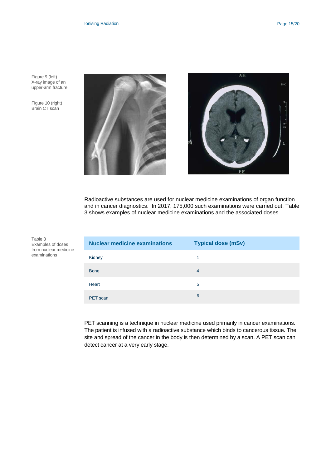Figure 9 (left) X-ray image of an upper-arm fracture

Figure 10 (right) Brain CT scan



Radioactive substances are used for nuclear medicine examinations of organ function and in cancer diagnostics. In 2017, 175,000 such examinations were carried out. Table 3 shows examples of nuclear medicine examinations and the associated doses.

Table 3 Examples of doses from nuclear medicine examinations

| <b>Nuclear medicine examinations</b> | <b>Typical dose (mSv)</b> |
|--------------------------------------|---------------------------|
| Kidney                               | 1                         |
| <b>Bone</b>                          | $\overline{4}$            |
| Heart                                | 5                         |
| PET scan                             | 6                         |

PET scanning is a technique in nuclear medicine used primarily in cancer examinations. The patient is infused with a radioactive substance which binds to cancerous tissue. The site and spread of the cancer in the body is then determined by a scan. A PET scan can detect cancer at a very early stage.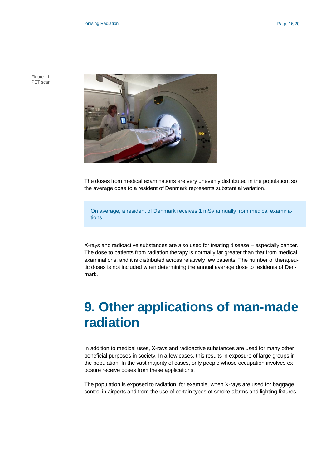Figure 11 PET scan



The doses from medical examinations are very unevenly distributed in the population, so the average dose to a resident of Denmark represents substantial variation.

On average, a resident of Denmark receives 1 mSv annually from medical examinations.

X-rays and radioactive substances are also used for treating disease – especially cancer. The dose to patients from radiation therapy is normally far greater than that from medical examinations, and it is distributed across relatively few patients. The number of therapeutic doses is not included when determining the annual average dose to residents of Denmark.

### <span id="page-15-0"></span>**9. Other applications of man-made radiation**

In addition to medical uses, X-rays and radioactive substances are used for many other beneficial purposes in society. In a few cases, this results in exposure of large groups in the population. In the vast majority of cases, only people whose occupation involves exposure receive doses from these applications.

The population is exposed to radiation, for example, when X-rays are used for baggage control in airports and from the use of certain types of smoke alarms and lighting fixtures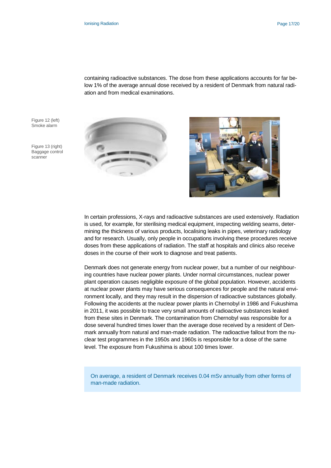containing radioactive substances. The dose from these applications accounts for far below 1% of the average annual dose received by a resident of Denmark from natural radiation and from medical examinations.

Figure 12 (left) Smoke alarm

Figure 13 (right) Baggage control scanner





In certain professions, X-rays and radioactive substances are used extensively. Radiation is used, for example, for sterilising medical equipment, inspecting welding seams, determining the thickness of various products, localising leaks in pipes, veterinary radiology and for research. Usually, only people in occupations involving these procedures receive doses from these applications of radiation. The staff at hospitals and clinics also receive doses in the course of their work to diagnose and treat patients.

Denmark does not generate energy from nuclear power, but a number of our neighbouring countries have nuclear power plants. Under normal circumstances, nuclear power plant operation causes negligible exposure of the global population. However, accidents at nuclear power plants may have serious consequences for people and the natural environment locally, and they may result in the dispersion of radioactive substances globally. Following the accidents at the nuclear power plants in Chernobyl in 1986 and Fukushima in 2011, it was possible to trace very small amounts of radioactive substances leaked from these sites in Denmark. The contamination from Chernobyl was responsible for a dose several hundred times lower than the average dose received by a resident of Denmark annually from natural and man-made radiation. The radioactive fallout from the nuclear test programmes in the 1950s and 1960s is responsible for a dose of the same level. The exposure from Fukushima is about 100 times lower.

On average, a resident of Denmark receives 0.04 mSv annually from other forms of man-made radiation.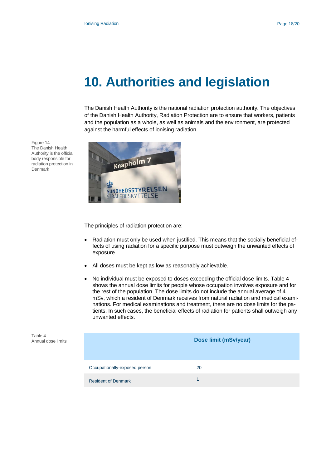### <span id="page-17-0"></span>**10. Authorities and legislation**

The Danish Health Authority is the national radiation protection authority. The objectives of the Danish Health Authority, Radiation Protection are to ensure that workers, patients and the population as a whole, as well as animals and the environment, are protected against the harmful effects of ionising radiation.



The principles of radiation protection are:

- Radiation must only be used when justified. This means that the socially beneficial effects of using radiation for a specific purpose must outweigh the unwanted effects of exposure.
- All doses must be kept as low as reasonably achievable.
- No individual must be exposed to doses exceeding the official dose limits. Table 4 shows the annual dose limits for people whose occupation involves exposure and for the rest of the population. The dose limits do not include the annual average of 4 mSv, which a resident of Denmark receives from natural radiation and medical examinations. For medical examinations and treatment, there are no dose limits for the patients. In such cases, the beneficial effects of radiation for patients shall outweigh any unwanted effects.

| Table 4<br>Annual dose limits |                               | Dose limit (mSv/year) |
|-------------------------------|-------------------------------|-----------------------|
|                               | Occupationally-exposed person | 20                    |
|                               | <b>Resident of Denmark</b>    |                       |

Figure 14 The Danish Health Authority is the official body responsible for radiation protection in Denmark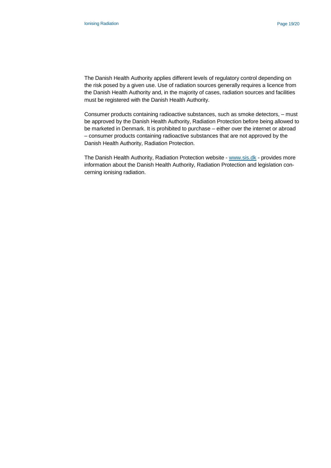The Danish Health Authority applies different levels of regulatory control depending on the risk posed by a given use. Use of radiation sources generally requires a licence from the Danish Health Authority and, in the majority of cases, radiation sources and facilities must be registered with the Danish Health Authority.

Consumer products containing radioactive substances, such as smoke detectors, – must be approved by the Danish Health Authority, Radiation Protection before being allowed to be marketed in Denmark. It is prohibited to purchase – either over the internet or abroad – consumer products containing radioactive substances that are not approved by the Danish Health Authority, Radiation Protection.

The Danish Health Authority, Radiation Protection website - [www.sis.dk](http://www.sis.dk/) - provides more information about the Danish Health Authority, Radiation Protection and legislation concerning ionising radiation.